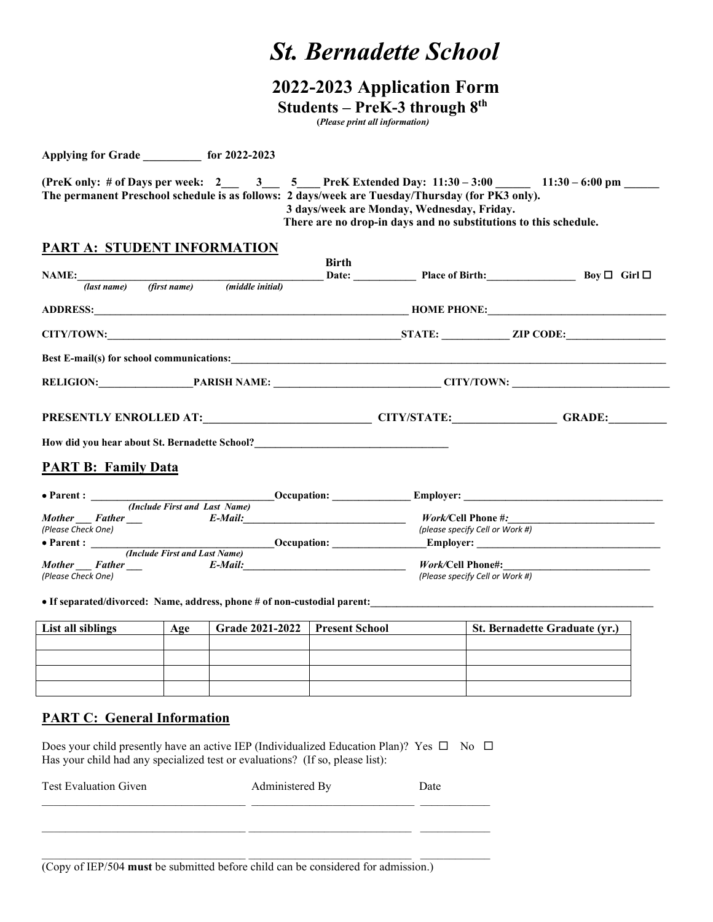# *St. Bernadette School*

## **2022-2023 Application Form Students – PreK-3 through 8th**

 **(***Please print all information)*

**Applying for Grade \_\_\_\_\_\_\_\_\_\_ for 2022-2023**

**(PreK only: # of Days per week: 2\_\_\_ 3\_\_\_ 5\_\_\_\_ PreK Extended Day: 11:30 – 3:00 \_\_\_\_\_\_ 11:30 – 6:00 pm \_\_\_\_\_\_ The permanent Preschool schedule is as follows: 2 days/week are Tuesday/Thursday (for PK3 only). 3 days/week are Monday, Wednesday, Friday. There are no drop-in days and no substitutions to this schedule.** 

### **PART A: STUDENT INFORMATION**

| NAME: Boy $\square$ Butchended Birth: Boy $\square$ Boy $\square$ Girl $\square$<br>(first name) (middle initial)<br>(last name)                                                                                                    | <b>Birth</b>                      |  |
|-------------------------------------------------------------------------------------------------------------------------------------------------------------------------------------------------------------------------------------|-----------------------------------|--|
| ADDRESS: HOME PHONE:                                                                                                                                                                                                                |                                   |  |
|                                                                                                                                                                                                                                     |                                   |  |
| Best E-mail(s) for school communications: <b>EXECUTE:</b> Note that the set of the set of the set of the set of the set of the set of the set of the set of the set of the set of the set of the set of the set of the set of the s |                                   |  |
|                                                                                                                                                                                                                                     | RELIGION: PARISH NAME: CITY/TOWN: |  |
| PRESENTLY ENROLLED AT: CITY/STATE: GRADE: GRADE:                                                                                                                                                                                    |                                   |  |
| How did you hear about St. Bernadette School?<br><u>Low did you hear about St. Bernadette School?</u>                                                                                                                               |                                   |  |
| <b>PART B: Family Data</b>                                                                                                                                                                                                          |                                   |  |
|                                                                                                                                                                                                                                     |                                   |  |
|                                                                                                                                                                                                                                     |                                   |  |
| Mother Father Father E-Mail: E-Mail: Work/Cell Phone #:<br>(Please Check One)                                                                                                                                                       | (please specify Cell or Work #)   |  |
|                                                                                                                                                                                                                                     |                                   |  |
| (Include First and Last Name)                                                                                                                                                                                                       |                                   |  |
| Mother Father Father E-Mail:                                                                                                                                                                                                        |                                   |  |
| (Please Check One)                                                                                                                                                                                                                  | (Please specify Cell or Work #)   |  |

• If separated/divorced: Name, address, phone # of non-custodial parent:

| List all siblings | Age | Grade 2021-2022   Present School | <b>St. Bernadette Graduate (yr.)</b> |
|-------------------|-----|----------------------------------|--------------------------------------|
|                   |     |                                  |                                      |
|                   |     |                                  |                                      |
|                   |     |                                  |                                      |
|                   |     |                                  |                                      |

#### **PART C: General Information**

Does your child presently have an active IEP (Individualized Education Plan)? Yes  $\Box$  No  $\Box$ Has your child had any specialized test or evaluations? (If so, please list):

\_\_\_\_\_\_\_\_\_\_\_\_\_\_\_\_\_\_\_\_\_\_\_\_\_\_\_\_\_\_\_\_\_\_\_ \_\_\_\_\_\_\_\_\_\_\_\_\_\_\_\_\_\_\_\_\_\_\_\_\_\_\_\_ \_\_\_\_\_\_\_\_\_\_\_\_

\_\_\_\_\_\_\_\_\_\_\_\_\_\_\_\_\_\_\_\_\_\_\_\_\_\_\_\_\_\_\_\_\_\_\_ \_\_\_\_\_\_\_\_\_\_\_\_\_\_\_\_\_\_\_\_\_\_\_\_\_\_\_\_ \_\_\_\_\_\_\_\_\_\_\_\_

| <b>Test Evaluation Given</b> | Administered Bv | )ate |
|------------------------------|-----------------|------|
|                              |                 |      |

(Copy of IEP/504 **must** be submitted before child can be considered for admission.)